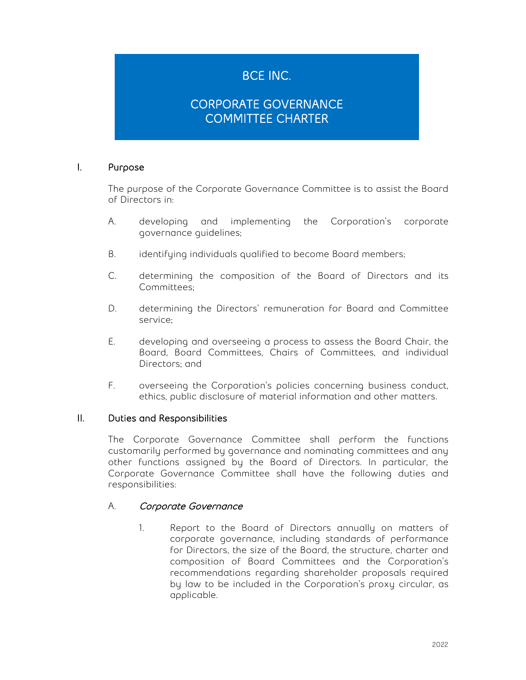# BCE INC.

# CORPORATE GOVERNANCE COMMITTEE CHARTER

### I. Purpose

The purpose of the Corporate Governance Committee is to assist the Board of Directors in:

- A. developing and implementing the Corporation's corporate governance guidelines;
- B. identifying individuals qualified to become Board members;
- C. determining the composition of the Board of Directors and its Committees;
- D. determining the Directors' remuneration for Board and Committee service;
- E. developing and overseeing a process to assess the Board Chair, the Board, Board Committees, Chairs of Committees, and individual Directors; and
- F. overseeing the Corporation's policies concerning business conduct, ethics, public disclosure of material information and other matters.

### II. Duties and Responsibilities

The Corporate Governance Committee shall perform the functions customarily performed by governance and nominating committees and any other functions assigned by the Board of Directors. In particular, the Corporate Governance Committee shall have the following duties and responsibilities:

### A. Corporate Governance

1. Report to the Board of Directors annually on matters of corporate governance, including standards of performance for Directors, the size of the Board, the structure, charter and composition of Board Committees and the Corporation's recommendations regarding shareholder proposals required by law to be included in the Corporation's proxy circular, as applicable.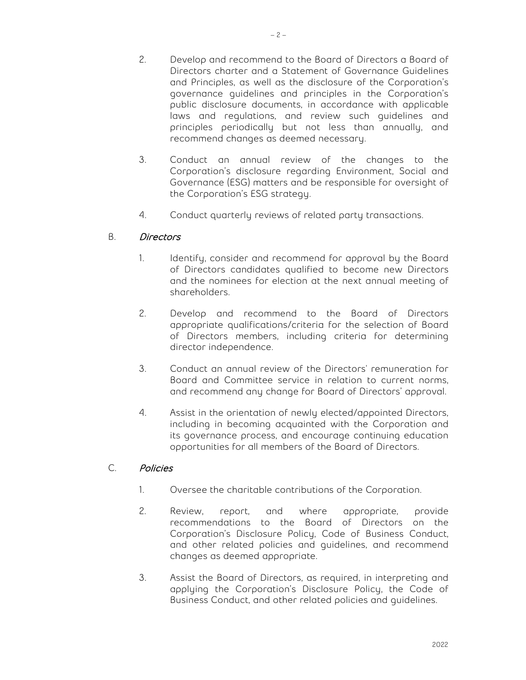- 2. Develop and recommend to the Board of Directors a Board of Directors charter and a Statement of Governance Guidelines
	- and Principles, as well as the disclosure of the Corporation's governance guidelines and principles in the Corporation's public disclosure documents, in accordance with applicable laws and regulations, and review such guidelines and principles periodically but not less than annually, and recommend changes as deemed necessary.
- 3. Conduct an annual review of the changes to the Corporation's disclosure regarding Environment, Social and Governance (ESG) matters and be responsible for oversight of the Corporation's ESG strategy.
- 4. Conduct quarterly reviews of related party transactions.

## B. Directors

- 1. Identify, consider and recommend for approval by the Board of Directors candidates qualified to become new Directors and the nominees for election at the next annual meeting of shareholders.
- 2. Develop and recommend to the Board of Directors appropriate qualifications/criteria for the selection of Board of Directors members, including criteria for determining director independence.
- 3. Conduct an annual review of the Directors' remuneration for Board and Committee service in relation to current norms, and recommend any change for Board of Directors' approval.
- 4. Assist in the orientation of newly elected/appointed Directors, including in becoming acquainted with the Corporation and its governance process, and encourage continuing education opportunities for all members of the Board of Directors.

### C. Policies

- 1. Oversee the charitable contributions of the Corporation.
- 2. Review, report, and where appropriate, provide recommendations to the Board of Directors on the Corporation's Disclosure Policy, Code of Business Conduct, and other related policies and guidelines, and recommend changes as deemed appropriate.
- 3. Assist the Board of Directors, as required, in interpreting and applying the Corporation's Disclosure Policy, the Code of Business Conduct, and other related policies and guidelines.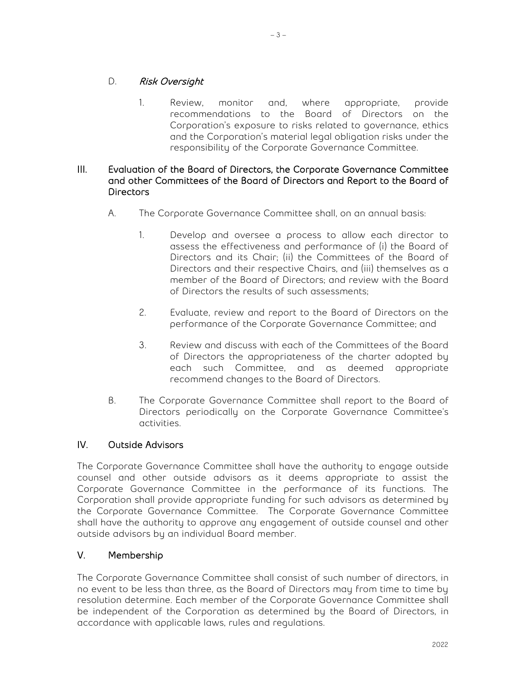## D. Risk Oversight

1. Review, monitor and, where appropriate, provide recommendations to the Board of Directors on the Corporation's exposure to risks related to governance, ethics and the Corporation's material legal obligation risks under the responsibility of the Corporate Governance Committee.

### III. Evaluation of the Board of Directors, the Corporate Governance Committee and other Committees of the Board of Directors and Report to the Board of **Directors**

- A. The Corporate Governance Committee shall, on an annual basis:
	- 1. Develop and oversee a process to allow each director to assess the effectiveness and performance of (i) the Board of Directors and its Chair; (ii) the Committees of the Board of Directors and their respective Chairs, and (iii) themselves as a member of the Board of Directors; and review with the Board of Directors the results of such assessments;
	- 2. Evaluate, review and report to the Board of Directors on the performance of the Corporate Governance Committee; and
	- 3. Review and discuss with each of the Committees of the Board of Directors the appropriateness of the charter adopted by each such Committee, and as deemed appropriate recommend changes to the Board of Directors.
- B. The Corporate Governance Committee shall report to the Board of Directors periodically on the Corporate Governance Committee's activities.

## IV. Outside Advisors

The Corporate Governance Committee shall have the authority to engage outside counsel and other outside advisors as it deems appropriate to assist the Corporate Governance Committee in the performance of its functions. The Corporation shall provide appropriate funding for such advisors as determined by the Corporate Governance Committee. The Corporate Governance Committee shall have the authority to approve any engagement of outside counsel and other outside advisors by an individual Board member.

## V. Membership

The Corporate Governance Committee shall consist of such number of directors, in no event to be less than three, as the Board of Directors may from time to time by resolution determine. Each member of the Corporate Governance Committee shall be independent of the Corporation as determined by the Board of Directors, in accordance with applicable laws, rules and regulations.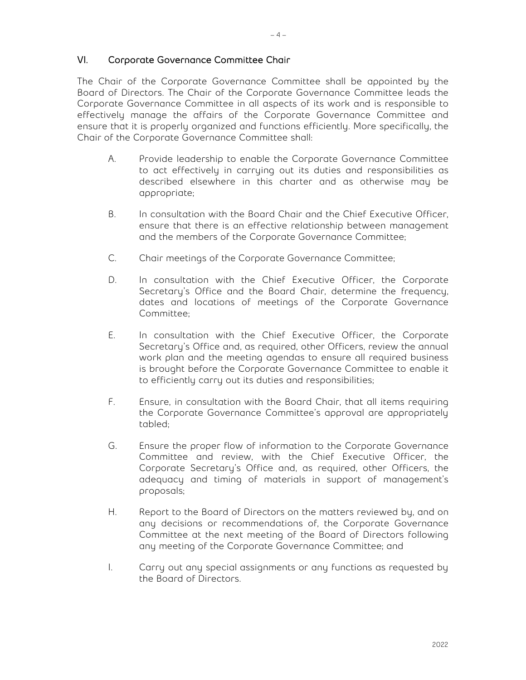#### VI. Corporate Governance Committee Chair

The Chair of the Corporate Governance Committee shall be appointed by the Board of Directors. The Chair of the Corporate Governance Committee leads the Corporate Governance Committee in all aspects of its work and is responsible to effectively manage the affairs of the Corporate Governance Committee and ensure that it is properly organized and functions efficiently. More specifically, the Chair of the Corporate Governance Committee shall:

- A. Provide leadership to enable the Corporate Governance Committee to act effectively in carrying out its duties and responsibilities as described elsewhere in this charter and as otherwise may be appropriate;
- B. In consultation with the Board Chair and the Chief Executive Officer, ensure that there is an effective relationship between management and the members of the Corporate Governance Committee;
- C. Chair meetings of the Corporate Governance Committee;
- D. In consultation with the Chief Executive Officer, the Corporate Secretary's Office and the Board Chair, determine the frequency, dates and locations of meetings of the Corporate Governance Committee;
- E. In consultation with the Chief Executive Officer, the Corporate Secretary's Office and, as required, other Officers, review the annual work plan and the meeting agendas to ensure all required business is brought before the Corporate Governance Committee to enable it to efficiently carry out its duties and responsibilities;
- F. Ensure, in consultation with the Board Chair, that all items requiring the Corporate Governance Committee's approval are appropriately tabled;
- G. Ensure the proper flow of information to the Corporate Governance Committee and review, with the Chief Executive Officer, the Corporate Secretary's Office and, as required, other Officers, the adequacy and timing of materials in support of management's proposals;
- H. Report to the Board of Directors on the matters reviewed by, and on any decisions or recommendations of, the Corporate Governance Committee at the next meeting of the Board of Directors following any meeting of the Corporate Governance Committee; and
- I. Carry out any special assignments or any functions as requested by the Board of Directors.